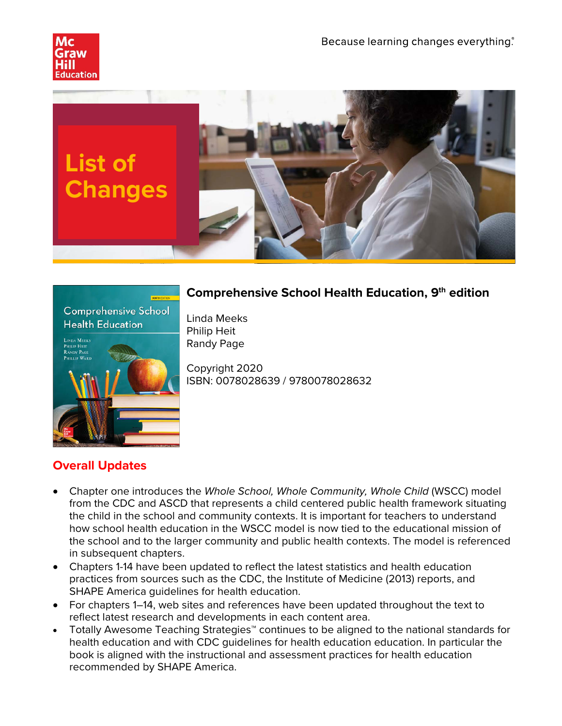





## **Comprehensive School Health Education, 9th edition**

Linda Meeks Philip Heit Randy Page

Copyright 2020 ISBN: 0078028639 / 9780078028632

# **Overall Updates**

- Chapter one introduces the *Whole School, Whole Community, Whole Child* (WSCC) model from the CDC and ASCD that represents a child centered public health framework situating the child in the school and community contexts. It is important for teachers to understand how school health education in the WSCC model is now tied to the educational mission of the school and to the larger community and public health contexts. The model is referenced in subsequent chapters.
- Chapters 1-14 have been updated to reflect the latest statistics and health education practices from sources such as the CDC, the Institute of Medicine (2013) reports, and SHAPE America guidelines for health education.
- For chapters 1–14, web sites and references have been updated throughout the text to reflect latest research and developments in each content area.
- Totally Awesome Teaching Strategies™ continues to be aligned to the national standards for health education and with CDC guidelines for health education education. In particular the book is aligned with the instructional and assessment practices for health education recommended by SHAPE America.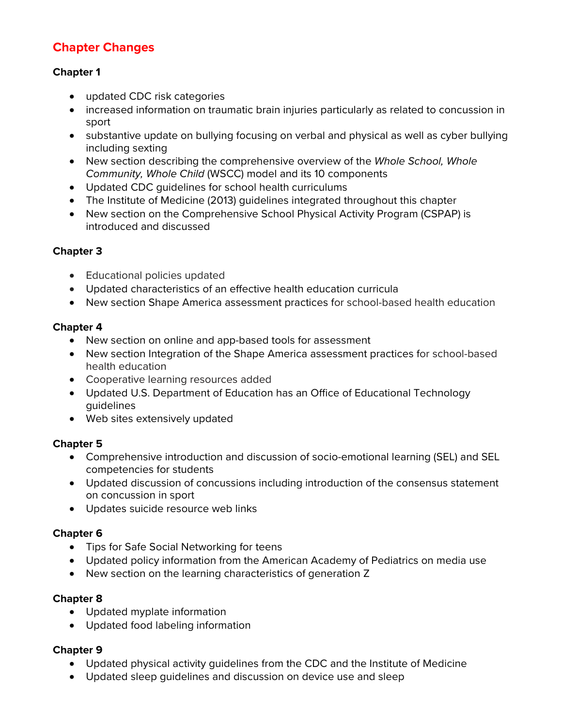## **Chapter Changes**

### **Chapter 1**

- updated CDC risk categories
- increased information on traumatic brain injuries particularly as related to concussion in sport
- substantive update on bullying focusing on verbal and physical as well as cyber bullying including sexting
- New section describing the comprehensive overview of the *Whole School, Whole Community, Whole Child* (WSCC) model and its 10 components
- Updated CDC guidelines for school health curriculums
- The Institute of Medicine (2013) guidelines integrated throughout this chapter
- New section on the Comprehensive School Physical Activity Program (CSPAP) is introduced and discussed

## **Chapter 3**

- Educational policies updated
- Updated characteristics of an effective health education curricula
- New section Shape America assessment practices for school-based health education

## **Chapter 4**

- New section on online and app-based tools for assessment
- New section Integration of the Shape America assessment practices for school-based health education
- Cooperative learning resources added
- Updated U.S. Department of Education has an Office of Educational Technology guidelines
- Web sites extensively updated

#### **Chapter 5**

- Comprehensive introduction and discussion of socio-emotional learning (SEL) and SEL competencies for students
- Updated discussion of concussions including introduction of the consensus statement on concussion in sport
- Updates suicide resource web links

#### **Chapter 6**

- Tips for Safe Social Networking for teens
- Updated policy information from the American Academy of Pediatrics on media use
- New section on the learning characteristics of generation Z

#### **Chapter 8**

- Updated myplate information
- Updated food labeling information

#### **Chapter 9**

- Updated physical activity guidelines from the CDC and the Institute of Medicine
- Updated sleep guidelines and discussion on device use and sleep